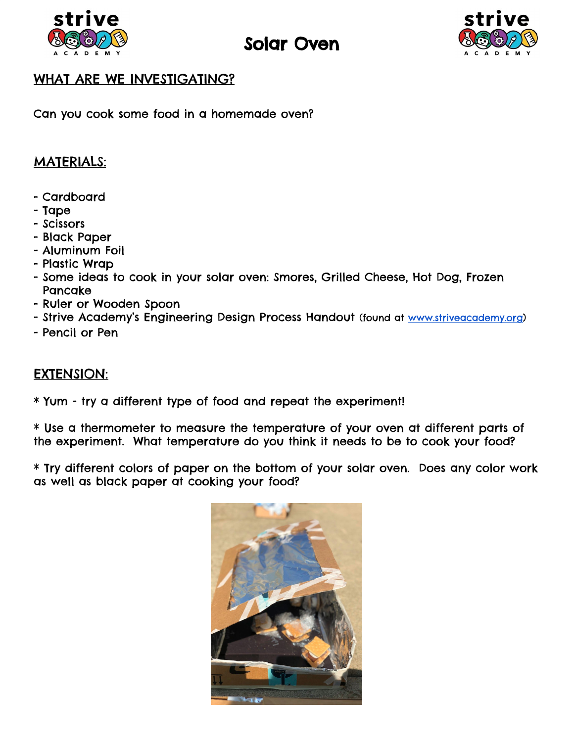

# Solar Oven



## WHAT ARE WE INVESTIGATING?

Can you cook some food in a homemade oven?

### MATERIALS:

- Cardboard
- Tape
- Scissors
- Black Paper
- Aluminum Foil
- Plastic Wrap
- Some ideas to cook in your solar oven: Smores, Grilled Cheese, Hot Dog, Frozen Pancake
- Ruler or Wooden Spoon
- Strive Academy's Engineering Design Process Handout (found at [www.striveacademy.org\)](http://www.striveacademy.org/)
- Pencil or Pen

#### EXTENSION:

\* Yum - try a different type of food and repeat the experiment!

\* Use a thermometer to measure the temperature of your oven at different parts of the experiment. What temperature do you think it needs to be to cook your food?

\* Try different colors of paper on the bottom of your solar oven. Does any color work as well as black paper at cooking your food?